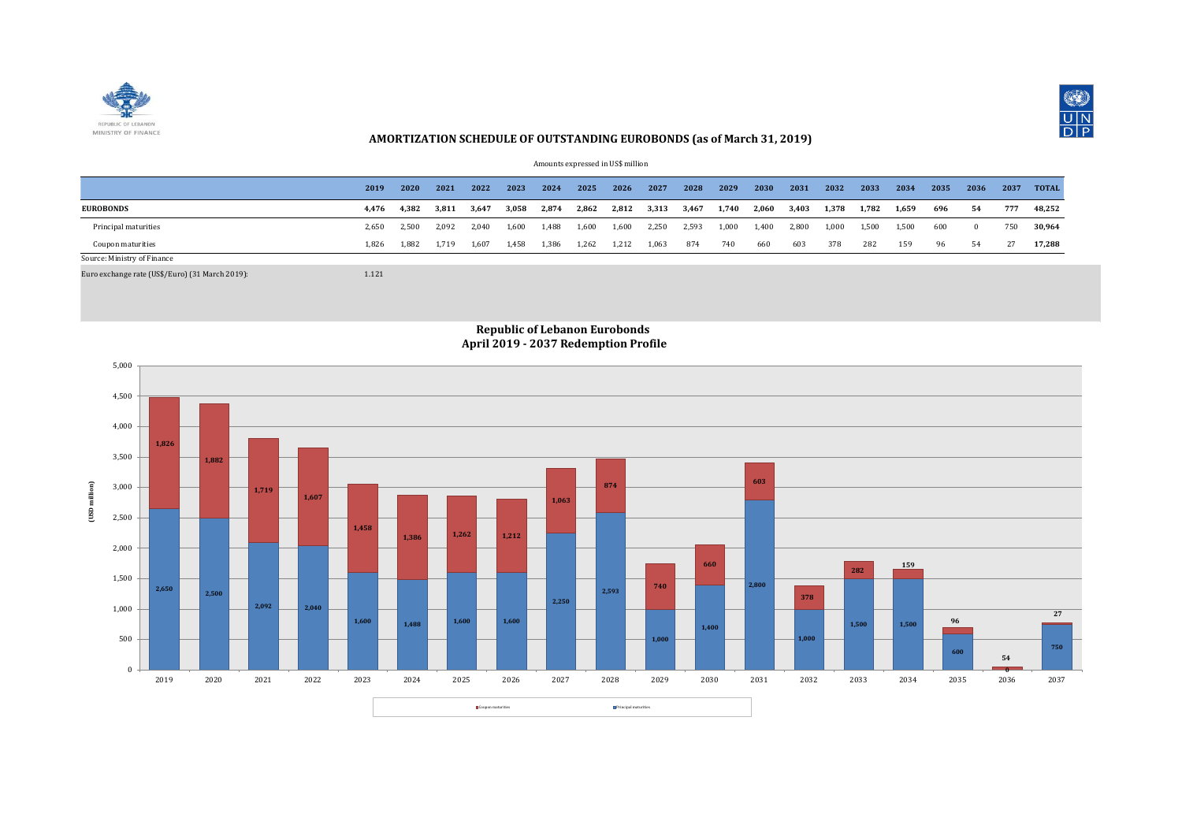



## **AMORTIZATION SCHEDULE OF OUTSTANDING EUROBONDS (as of March 31, 2019)**

Amounts expressed in US\$ million

|                             | 2019  | 2020  | 2021  | 2022  | 2023  | 2024  | 2025  | 2026  | 2027  | 2028  | 2029  | 2030  | 2031  | 2032  | 2033  | 2034  | 2035 | 2036 | 2037 | <b>TOTAL</b> |
|-----------------------------|-------|-------|-------|-------|-------|-------|-------|-------|-------|-------|-------|-------|-------|-------|-------|-------|------|------|------|--------------|
| <b>EUROBONDS</b>            | 4,476 | 4,382 | 3,811 | 3,647 | 3,058 | 2,874 | 2,862 | 2,812 | 3,313 | 3,467 | 1,740 | 2,060 | 3,403 | 1,378 | 1,782 | 1,659 | 696  | 54   | 777  | 48,252       |
| Principal maturities        | 2.650 | 2.500 | 2.092 | 2.040 | 1.600 | 1.488 | 1.600 | 1.600 | 2.250 | 2.593 | 1,000 | 1.400 | 2.800 | 1.000 | 1.500 | 1.500 | 600  |      | 750  | 30.964       |
| Coupon maturities           | 1.826 | 1.882 | 1.719 | 1.607 | 1,458 | 1,386 | 1,262 | 1,212 | 1,063 | 874   | 740   | 660   | 603   | 378   | 282   | 159   | 96   | 54   |      | 17.288       |
| Source: Ministry of Finance |       |       |       |       |       |       |       |       |       |       |       |       |       |       |       |       |      |      |      |              |

Euro exchange rate (US\$/Euro) (31 March 2019): 1.121



## **Republic of Lebanon Eurobonds April 2019 - 2037 Redemption Profile**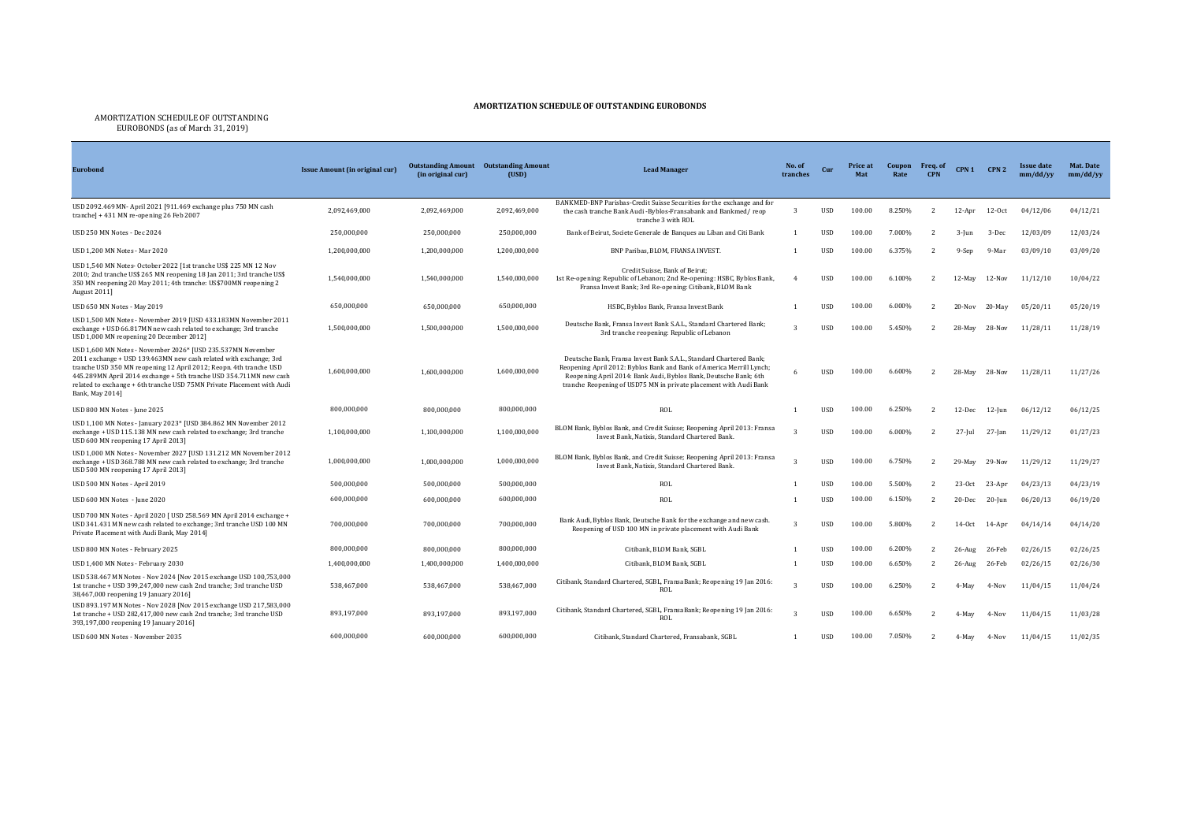## **AMORTIZATION SCHEDULE OF OUTSTANDING EUROBONDS**

## AMORTIZATION SCHEDULE OF OUTSTANDING EUROBONDS (as of March 31, 2019)

| <b>Eurobond</b>                                                                                                                                                                                                                                                                                                                                                           | <b>Issue Amount (in original cur)</b> | <b>Outstanding Amount</b><br>(in original cur) | <b>Outstanding Amount</b><br>(USD) | <b>Lead Manager</b><br>tranches                                                                                                                                                                                                                                                     |                         | Cur        | Price at<br>Mat | Coupon<br>Rate | Freq. of<br><b>CPN</b> | CPN <sub>1</sub> | CPN <sub>2</sub> | <b>Issue date</b><br>mm/dd/vv | Mat. Date<br>mm/dd/yy |
|---------------------------------------------------------------------------------------------------------------------------------------------------------------------------------------------------------------------------------------------------------------------------------------------------------------------------------------------------------------------------|---------------------------------------|------------------------------------------------|------------------------------------|-------------------------------------------------------------------------------------------------------------------------------------------------------------------------------------------------------------------------------------------------------------------------------------|-------------------------|------------|-----------------|----------------|------------------------|------------------|------------------|-------------------------------|-----------------------|
|                                                                                                                                                                                                                                                                                                                                                                           |                                       |                                                |                                    | BANKMED-BNP Parisbas-Credit Suisse Securities for the exchange and for                                                                                                                                                                                                              |                         |            |                 |                |                        |                  |                  |                               |                       |
| USD 2092.469 MN- April 2021 [911.469 exchange plus 750 MN cash<br>tranche] + 431 MN re-opening 26 Feb 2007                                                                                                                                                                                                                                                                | 2,092,469,000                         | 2.092.469.000                                  | 2,092,469,000                      | the cash tranche Bank Audi -Byblos-Fransabank and Bankmed/reop<br>tranche 3 with ROL                                                                                                                                                                                                | $\overline{3}$          | <b>USD</b> | 100.00          | 8.250%         | $\overline{2}$         | $12-Apr$         | $12-0ct$         | 04/12/06                      | 04/12/21              |
| USD 250 MN Notes - Dec 2024                                                                                                                                                                                                                                                                                                                                               | 250,000,000                           | 250,000,000                                    | 250,000,000                        | Bank of Beirut, Societe Generale de Banques au Liban and Citi Bank                                                                                                                                                                                                                  |                         | <b>USD</b> | 100.00          | 7.000%         |                        | $3$ -Jun         | 3-Dec            | 12/03/09                      | 12/03/24              |
| USD 1.200 MN Notes - Mar 2020                                                                                                                                                                                                                                                                                                                                             | 1,200,000,000                         | 1.200.000.000                                  | 1,200,000,000                      | BNP Paribas, BLOM, FRANSA INVEST,                                                                                                                                                                                                                                                   |                         | <b>USD</b> | 100.00          | 6.375%         |                        | 9-Sep            | 9-Mar            | 03/09/10                      | 03/09/20              |
| USD 1,540 MN Notes- October 2022 [1st tranche US\$ 225 MN 12 Nov<br>2010; 2nd tranche US\$ 265 MN reopening 18 Jan 2011; 3rd tranche US\$<br>350 MN reopening 20 May 2011; 4th tranche: US\$700MN reopening 2<br>August 2011]                                                                                                                                             | 1.540.000.000                         | 1,540,000,000                                  | 1.540.000.000                      | Credit Suisse, Bank of Beirut:<br>1st Re-opening: Republic of Lebanon; 2nd Re-opening: HSBC, Byblos Bank,<br>Fransa Invest Bank; 3rd Re-opening: Citibank, BLOM Bank                                                                                                                | $\overline{4}$          | <b>USD</b> | 100.00          | 6.100%         | $\overline{2}$         | 12-May           | 12-Nov           | 11/12/10                      | 10/04/22              |
| USD 650 MN Notes - May 2019                                                                                                                                                                                                                                                                                                                                               | 650,000,000                           | 650,000,000                                    | 650,000,000                        | HSBC, Byblos Bank, Fransa Invest Bank                                                                                                                                                                                                                                               |                         | <b>USD</b> | 100.00          | 6.000%         |                        | 20-Nov           | 20-May           | 05/20/11                      | 05/20/19              |
| USD 1,500 MN Notes - November 2019 [USD 433.183MN November 2011<br>exchange + USD 66.817MN new cash related to exchange; 3rd tranche<br>USD 1,000 MN reopening 20 December 2012]                                                                                                                                                                                          | 1,500,000,000                         | 1,500,000,000                                  | 1,500,000,000                      | Deutsche Bank, Fransa Invest Bank S.A.L., Standard Chartered Bank;<br>3rd tranche reopening: Republic of Lebanon                                                                                                                                                                    | $\overline{\mathbf{z}}$ | <b>USD</b> | 100.00          | 5.450%         | $\overline{2}$         | 28-May           | 28-Nov           | 11/28/11                      | 11/28/19              |
| USD 1,600 MN Notes - November 2026* [USD 235.537MN November<br>2011 exchange + USD 139.463MN new cash related with exchange; 3rd<br>tranche USD 350 MN reopening 12 April 2012; Reopn. 4th tranche USD<br>445.289MN April 2014 exchange + 5th tranche USD 354.711MN new cash<br>related to exchange + 6th tranche USD 75MN Private Placement with Audi<br>Bank, May 2014] | 1,600,000,000                         | 1.600.000.000                                  | 1.600.000.000                      | Deutsche Bank, Fransa Invest Bank S.A.L., Standard Chartered Bank;<br>Reopening April 2012: Byblos Bank and Bank of America Merrill Lynch;<br>Reopening April 2014: Bank Audi, Byblos Bank, Deutsche Bank; 6th<br>tranche Reopening of USD75 MN in private placement with Audi Bank | 6                       | <b>USD</b> | 100.00          | 6.600%         |                        | 28-May           | 28-Nov           | 11/28/11                      | 11/27/26              |
| USD 800 MN Notes - June 2025                                                                                                                                                                                                                                                                                                                                              | 800,000,000                           | 800,000,000                                    | 800.000.000                        | <b>ROL</b>                                                                                                                                                                                                                                                                          |                         | <b>USD</b> | 100.00          | 6.250%         |                        | 12-Dec           | $12$ -Jun        | 06/12/12                      | 06/12/25              |
| USD 1,100 MN Notes - January 2023* JUSD 384.862 MN November 2012<br>exchange + USD 115.138 MN new cash related to exchange; 3rd tranche<br>USD 600 MN reopening 17 April 2013]                                                                                                                                                                                            | 1,100,000,000                         | 1,100,000,000                                  | 1,100,000,000                      | BLOM Bank, Byblos Bank, and Credit Suisse; Reopening April 2013: Fransa<br>Invest Bank, Natixis, Standard Chartered Bank.                                                                                                                                                           |                         | <b>USD</b> | 100.00          | 6.000%         |                        | $27$ -Jul        | 27-Jan           | 11/29/12                      | 01/27/23              |
| USD 1,000 MN Notes - November 2027 [USD 131.212 MN November 2012<br>exchange + USD 368.788 MN new cash related to exchange; 3rd tranche<br>USD 500 MN reopening 17 April 2013]                                                                                                                                                                                            | 1,000,000,000                         | 1,000,000,000                                  | 1,000,000,000                      | BLOM Bank, Byblos Bank, and Credit Suisse; Reopening April 2013: Fransa<br>Invest Bank, Natixis, Standard Chartered Bank,                                                                                                                                                           |                         | <b>USD</b> | 100.00          | 6.750%         | $\overline{2}$         | 29-May           | 29-Nov           | 11/29/12                      | 11/29/27              |
| USD 500 MN Notes - April 2019                                                                                                                                                                                                                                                                                                                                             | 500,000,000                           | 500,000,000                                    | 500.000.000                        | ROL                                                                                                                                                                                                                                                                                 |                         | <b>USD</b> | 100.00          | 5.500%         |                        | $23-0ct$         | 23-Apr           | 04/23/13                      | 04/23/19              |
| USD 600 MN Notes - June 2020                                                                                                                                                                                                                                                                                                                                              | 600.000.000                           | 600,000,000                                    | 600.000.000                        | <b>ROL</b>                                                                                                                                                                                                                                                                          |                         | <b>USD</b> | 100.00          | 6.150%         | $\overline{2}$         | 20-Dec           | 20-Jun           | 06/20/13                      | 06/19/20              |
| USD 700 MN Notes - April 2020 [ USD 258.569 MN April 2014 exchange +<br>USD 341.431 MN new cash related to exchange; 3rd tranche USD 100 MN<br>Private Placement with Audi Bank, May 2014]                                                                                                                                                                                | 700,000,000                           | 700,000,000                                    | 700,000,000                        | Bank Audi, Byblos Bank, Deutsche Bank for the exchange and new cash.<br>Reopening of USD 100 MN in private placement with Audi Bank                                                                                                                                                 | २                       | <b>USD</b> | 100.00          | 5.800%         |                        | $14-0ct$         | 14-Apr           | 04/14/14                      | 04/14/20              |
| USD 800 MN Notes - February 2025                                                                                                                                                                                                                                                                                                                                          | 800,000,000                           | 800,000,000                                    | 800.000.000                        | Citibank, BLOM Bank, SGBL                                                                                                                                                                                                                                                           |                         | <b>USD</b> | 100.00          | 6.200%         |                        | $26$ -Aug        | 26-Feb           | 02/26/15                      | 02/26/25              |
| USD 1,400 MN Notes - February 2030                                                                                                                                                                                                                                                                                                                                        | 1,400,000,000                         | 1,400,000,000                                  | 1,400,000,000                      | Citibank, BLOM Bank, SGBL                                                                                                                                                                                                                                                           |                         | <b>USD</b> | 100.00          | 6.650%         |                        | $26$ -Aug        | 26-Feb           | 02/26/15                      | 02/26/30              |
| USD 538.467 MN Notes - Nov 2024 [Nov 2015 exchange USD 100,753,000<br>1st tranche + USD 399,247,000 new cash 2nd tranche; 3rd tranche USD<br>38,467,000 reopening 19 January 2016]                                                                                                                                                                                        | 538,467,000                           | 538.467.000                                    | 538,467,000                        | Citibank, Standard Chartered, SGBL, FransaBank; Reopening 19 Jan 2016:<br>ROL                                                                                                                                                                                                       | $\overline{\mathbf{3}}$ | <b>USD</b> | 100.00          | 6.250%         |                        | 4-May            | $4-Nov$          | 11/04/15                      | 11/04/24              |
| USD 893.197 MN Notes - Nov 2028 [Nov 2015 exchange USD 217,583,000<br>1st tranche + USD 282,417,000 new cash 2nd tranche; 3rd tranche USD<br>393,197,000 reopening 19 January 2016]                                                                                                                                                                                       | 893,197,000                           | 893,197,000                                    | 893,197,000                        | Citibank, Standard Chartered, SGBL, FransaBank; Reopening 19 Jan 2016:<br>ROL                                                                                                                                                                                                       | $\mathbf{z}$            | <b>USD</b> | 100.00          | 6.650%         |                        | 4-May            | 4-Nov            | 11/04/15                      | 11/03/28              |
| USD 600 MN Notes - November 2035                                                                                                                                                                                                                                                                                                                                          | 600.000.000                           | 600.000.000                                    | 600.000.000                        | Citibank, Standard Chartered, Fransabank, SGBL                                                                                                                                                                                                                                      |                         | <b>USD</b> | 100.00          | 7.050%         |                        | 4-May            | $4-Nov$          | 11/04/15                      | 11/02/35              |